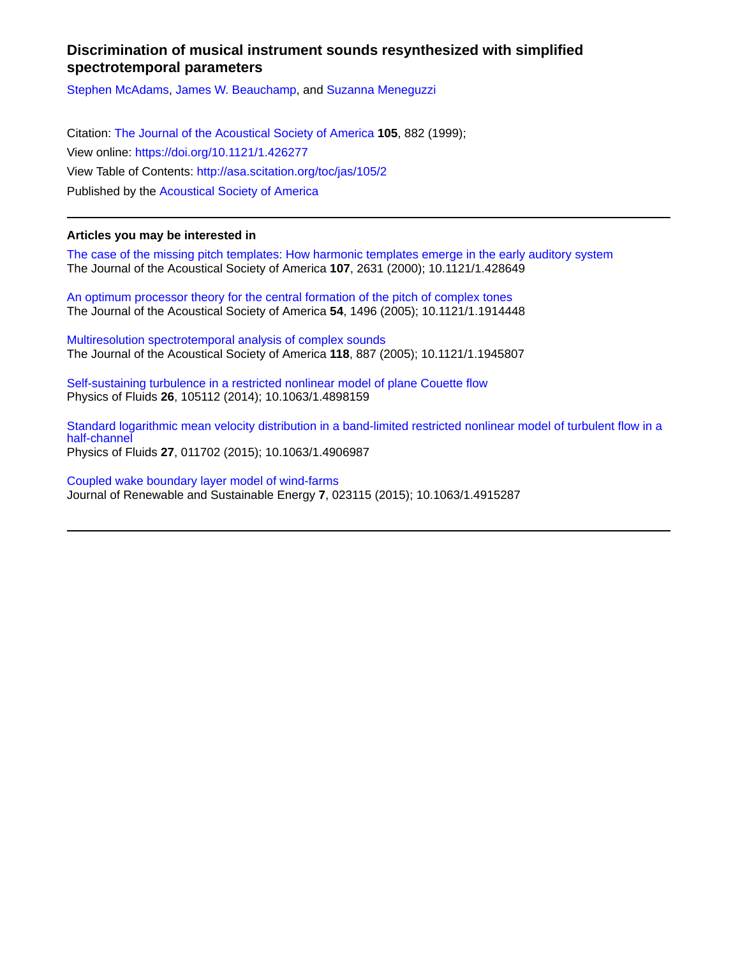## **Discrimination of musical instrument sounds resynthesized with simplified spectrotemporal parameters**

[Stephen McAdams,](http://asa.scitation.org/author/McAdams%2C+Stephen) [James W. Beauchamp](http://asa.scitation.org/author/Beauchamp%2C+James+W), and [Suzanna Meneguzzi](http://asa.scitation.org/author/Meneguzzi%2C+Suzanna)

Citation: [The Journal of the Acoustical Society of America](/loi/jas) **105**, 882 (1999); View online: <https://doi.org/10.1121/1.426277> View Table of Contents: <http://asa.scitation.org/toc/jas/105/2> Published by the [Acoustical Society of America](http://asa.scitation.org/publisher/)

## **Articles you may be interested in**

[The case of the missing pitch templates: How harmonic templates emerge in the early auditory system](http://asa.scitation.org/doi/abs/10.1121/1.428649) The Journal of the Acoustical Society of America **107**, 2631 (2000); 10.1121/1.428649

[An optimum processor theory for the central formation of the pitch of complex tones](http://asa.scitation.org/doi/abs/10.1121/1.1914448) The Journal of the Acoustical Society of America **54**, 1496 (2005); 10.1121/1.1914448

[Multiresolution spectrotemporal analysis of complex sounds](http://asa.scitation.org/doi/abs/10.1121/1.1945807) The Journal of the Acoustical Society of America **118**, 887 (2005); 10.1121/1.1945807

[Self-sustaining turbulence in a restricted nonlinear model of plane Couette flow](http://asa.scitation.org/doi/abs/10.1063/1.4898159) Physics of Fluids **26**, 105112 (2014); 10.1063/1.4898159

[Standard logarithmic mean velocity distribution in a band-limited restricted nonlinear model of turbulent flow in a](http://asa.scitation.org/doi/abs/10.1063/1.4906987) [half-channel](http://asa.scitation.org/doi/abs/10.1063/1.4906987) Physics of Fluids **27**, 011702 (2015); 10.1063/1.4906987

[Coupled wake boundary layer model of wind-farms](http://asa.scitation.org/doi/abs/10.1063/1.4915287) Journal of Renewable and Sustainable Energy **7**, 023115 (2015); 10.1063/1.4915287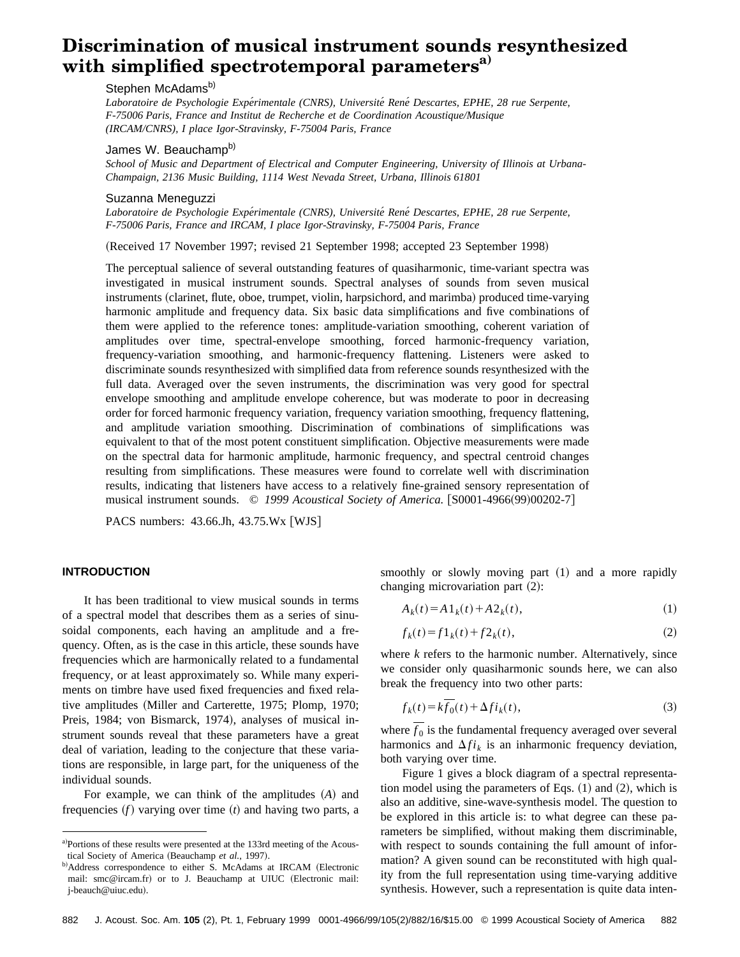# **Discrimination of musical instrument sounds resynthesized** with simplified spectrotemporal parameters<sup>a)</sup>

#### Stephen McAdams<sup>b)</sup>

*Laboratoire de Psychologie Expe´rimentale (CNRS), Universite´ Rene´ Descartes, EPHE, 28 rue Serpente, F-75006 Paris, France and Institut de Recherche et de Coordination Acoustique/Musique (IRCAM/CNRS), I place Igor-Stravinsky, F-75004 Paris, France*

## James W. Beauchampb)

*School of Music and Department of Electrical and Computer Engineering, University of Illinois at Urbana-Champaign, 2136 Music Building, 1114 West Nevada Street, Urbana, Illinois 61801*

#### Suzanna Meneguzzi

*Laboratoire de Psychologie Expe´rimentale (CNRS), Universite´ Rene´ Descartes, EPHE, 28 rue Serpente, F-75006 Paris, France and IRCAM, I place Igor-Stravinsky, F-75004 Paris, France*

(Received 17 November 1997; revised 21 September 1998; accepted 23 September 1998)

The perceptual salience of several outstanding features of quasiharmonic, time-variant spectra was investigated in musical instrument sounds. Spectral analyses of sounds from seven musical instruments (clarinet, flute, oboe, trumpet, violin, harpsichord, and marimba) produced time-varying harmonic amplitude and frequency data. Six basic data simplifications and five combinations of them were applied to the reference tones: amplitude-variation smoothing, coherent variation of amplitudes over time, spectral-envelope smoothing, forced harmonic-frequency variation, frequency-variation smoothing, and harmonic-frequency flattening. Listeners were asked to discriminate sounds resynthesized with simplified data from reference sounds resynthesized with the full data. Averaged over the seven instruments, the discrimination was very good for spectral envelope smoothing and amplitude envelope coherence, but was moderate to poor in decreasing order for forced harmonic frequency variation, frequency variation smoothing, frequency flattening, and amplitude variation smoothing. Discrimination of combinations of simplifications was equivalent to that of the most potent constituent simplification. Objective measurements were made on the spectral data for harmonic amplitude, harmonic frequency, and spectral centroid changes resulting from simplifications. These measures were found to correlate well with discrimination results, indicating that listeners have access to a relatively fine-grained sensory representation of musical instrument sounds.  $\odot$  1999 Acoustical Society of America. [S0001-4966(99)00202-7]

PACS numbers: 43.66.Jh, 43.75.Wx [WJS]

#### **INTRODUCTION**

It has been traditional to view musical sounds in terms of a spectral model that describes them as a series of sinusoidal components, each having an amplitude and a frequency. Often, as is the case in this article, these sounds have frequencies which are harmonically related to a fundamental frequency, or at least approximately so. While many experiments on timbre have used fixed frequencies and fixed relative amplitudes (Miller and Carterette, 1975; Plomp, 1970; Preis, 1984; von Bismarck, 1974), analyses of musical instrument sounds reveal that these parameters have a great deal of variation, leading to the conjecture that these variations are responsible, in large part, for the uniqueness of the individual sounds.

For example, we can think of the amplitudes  $(A)$  and frequencies  $(f)$  varying over time  $(t)$  and having two parts, a smoothly or slowly moving part  $(1)$  and a more rapidly changing microvariation part  $(2)$ :

$$
A_k(t) = A \, 1_k(t) + A \, 2_k(t),\tag{1}
$$

$$
f_k(t) = f1_k(t) + f2_k(t),
$$
\n(2)

where *k* refers to the harmonic number. Alternatively, since we consider only quasiharmonic sounds here, we can also break the frequency into two other parts:

$$
f_k(t) = k \overline{f_0}(t) + \Delta f i_k(t),
$$
\n(3)

where  $f_0$  is the fundamental frequency averaged over several harmonics and  $\Delta f i_k$  is an inharmonic frequency deviation, both varying over time.

Figure 1 gives a block diagram of a spectral representation model using the parameters of Eqs.  $(1)$  and  $(2)$ , which is also an additive, sine-wave-synthesis model. The question to be explored in this article is: to what degree can these parameters be simplified, without making them discriminable, with respect to sounds containing the full amount of information? A given sound can be reconstituted with high quality from the full representation using time-varying additive synthesis. However, such a representation is quite data inten-

a)Portions of these results were presented at the 133rd meeting of the Acoustical Society of America (Beauchamp et al., 1997).

b) Address correspondence to either S. McAdams at IRCAM (Electronic mail: smc@ircam.fr) or to J. Beauchamp at UIUC (Electronic mail: j-beauch@uiuc.edu).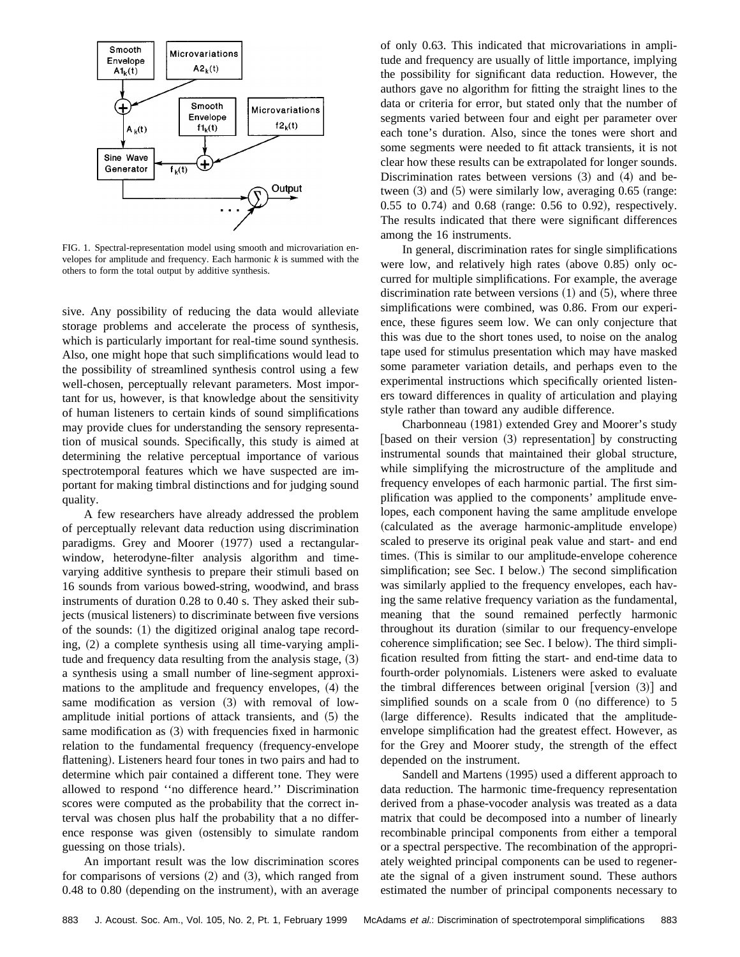

FIG. 1. Spectral-representation model using smooth and microvariation envelopes for amplitude and frequency. Each harmonic  $k$  is summed with the others to form the total output by additive synthesis.

sive. Any possibility of reducing the data would alleviate storage problems and accelerate the process of synthesis, which is particularly important for real-time sound synthesis. Also, one might hope that such simplifications would lead to the possibility of streamlined synthesis control using a few well-chosen, perceptually relevant parameters. Most important for us, however, is that knowledge about the sensitivity of human listeners to certain kinds of sound simplifications may provide clues for understanding the sensory representation of musical sounds. Specifically, this study is aimed at determining the relative perceptual importance of various spectrotemporal features which we have suspected are important for making timbral distinctions and for judging sound quality.

A few researchers have already addressed the problem of perceptually relevant data reduction using discrimination paradigms. Grey and Moorer (1977) used a rectangularwindow, heterodyne-filter analysis algorithm and timevarying additive synthesis to prepare their stimuli based on 16 sounds from various bowed-string, woodwind, and brass instruments of duration 0.28 to 0.40 s. They asked their subjects (musical listeners) to discriminate between five versions of the sounds:  $(1)$  the digitized original analog tape recording,  $(2)$  a complete synthesis using all time-varying amplitude and frequency data resulting from the analysis stage,  $(3)$ a synthesis using a small number of line-segment approximations to the amplitude and frequency envelopes,  $(4)$  the same modification as version  $(3)$  with removal of lowamplitude initial portions of attack transients, and  $(5)$  the same modification as  $(3)$  with frequencies fixed in harmonic relation to the fundamental frequency (frequency-envelope flattening). Listeners heard four tones in two pairs and had to determine which pair contained a different tone. They were allowed to respond ''no difference heard.'' Discrimination scores were computed as the probability that the correct interval was chosen plus half the probability that a no difference response was given (ostensibly to simulate random guessing on those trials).

An important result was the low discrimination scores for comparisons of versions  $(2)$  and  $(3)$ , which ranged from  $0.48$  to  $0.80$  (depending on the instrument), with an average of only 0.63. This indicated that microvariations in amplitude and frequency are usually of little importance, implying the possibility for significant data reduction. However, the authors gave no algorithm for fitting the straight lines to the data or criteria for error, but stated only that the number of segments varied between four and eight per parameter over each tone's duration. Also, since the tones were short and some segments were needed to fit attack transients, it is not clear how these results can be extrapolated for longer sounds. Discrimination rates between versions  $(3)$  and  $(4)$  and between  $(3)$  and  $(5)$  were similarly low, averaging 0.65 (range:  $0.55$  to  $0.74$ ) and  $0.68$  (range: 0.56 to 0.92), respectively. The results indicated that there were significant differences among the 16 instruments.

In general, discrimination rates for single simplifications were low, and relatively high rates (above  $0.85$ ) only occurred for multiple simplifications. For example, the average discrimination rate between versions  $(1)$  and  $(5)$ , where three simplifications were combined, was 0.86. From our experience, these figures seem low. We can only conjecture that this was due to the short tones used, to noise on the analog tape used for stimulus presentation which may have masked some parameter variation details, and perhaps even to the experimental instructions which specifically oriented listeners toward differences in quality of articulation and playing style rather than toward any audible difference.

Charbonneau (1981) extended Grey and Moorer's study [based on their version  $(3)$  representation] by constructing instrumental sounds that maintained their global structure, while simplifying the microstructure of the amplitude and frequency envelopes of each harmonic partial. The first simplification was applied to the components' amplitude envelopes, each component having the same amplitude envelope (calculated as the average harmonic-amplitude envelope) scaled to preserve its original peak value and start- and end times. (This is similar to our amplitude-envelope coherence simplification; see Sec. I below.) The second simplification was similarly applied to the frequency envelopes, each having the same relative frequency variation as the fundamental, meaning that the sound remained perfectly harmonic throughout its duration (similar to our frequency-envelope coherence simplification; see Sec. I below). The third simplification resulted from fitting the start- and end-time data to fourth-order polynomials. Listeners were asked to evaluate the timbral differences between original version  $(3)$  and simplified sounds on a scale from  $\theta$  (no difference) to 5 (large difference). Results indicated that the amplitudeenvelope simplification had the greatest effect. However, as for the Grey and Moorer study, the strength of the effect depended on the instrument.

Sandell and Martens (1995) used a different approach to data reduction. The harmonic time-frequency representation derived from a phase-vocoder analysis was treated as a data matrix that could be decomposed into a number of linearly recombinable principal components from either a temporal or a spectral perspective. The recombination of the appropriately weighted principal components can be used to regenerate the signal of a given instrument sound. These authors estimated the number of principal components necessary to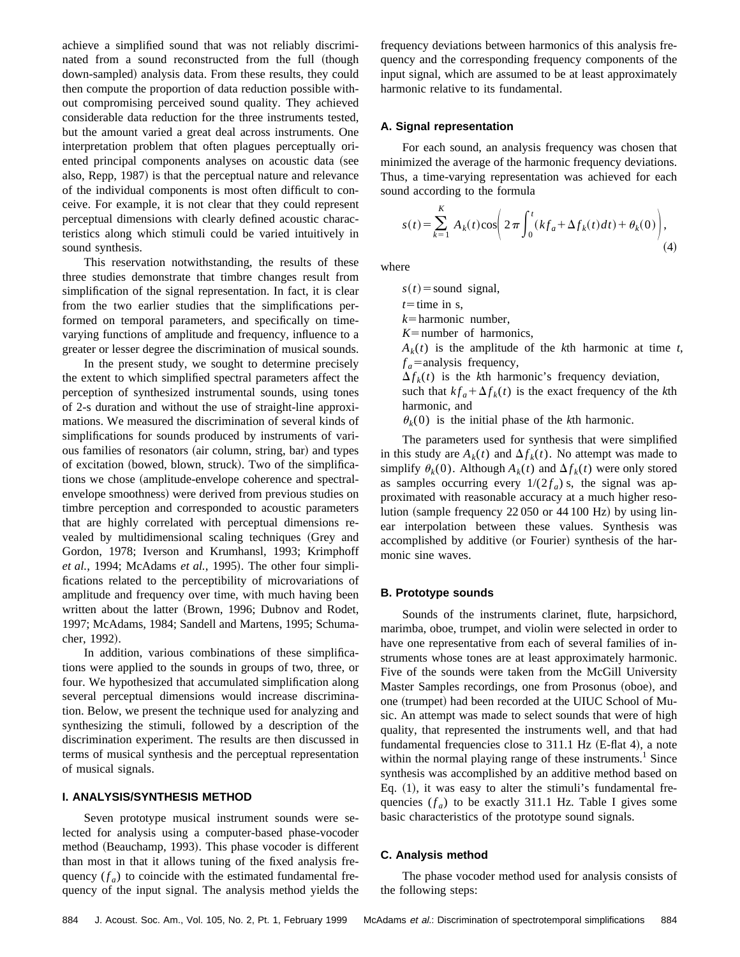achieve a simplified sound that was not reliably discriminated from a sound reconstructed from the full (though down-sampled) analysis data. From these results, they could then compute the proportion of data reduction possible without compromising perceived sound quality. They achieved considerable data reduction for the three instruments tested, but the amount varied a great deal across instruments. One interpretation problem that often plagues perceptually oriented principal components analyses on acoustic data (see also, Repp, 1987) is that the perceptual nature and relevance of the individual components is most often difficult to conceive. For example, it is not clear that they could represent perceptual dimensions with clearly defined acoustic characteristics along which stimuli could be varied intuitively in sound synthesis.

This reservation notwithstanding, the results of these three studies demonstrate that timbre changes result from simplification of the signal representation. In fact, it is clear from the two earlier studies that the simplifications performed on temporal parameters, and specifically on timevarying functions of amplitude and frequency, influence to a greater or lesser degree the discrimination of musical sounds.

In the present study, we sought to determine precisely the extent to which simplified spectral parameters affect the perception of synthesized instrumental sounds, using tones of 2-s duration and without the use of straight-line approximations. We measured the discrimination of several kinds of simplifications for sounds produced by instruments of various families of resonators (air column, string, bar) and types of excitation (bowed, blown, struck). Two of the simplifications we chose (amplitude-envelope coherence and spectralenvelope smoothness) were derived from previous studies on timbre perception and corresponded to acoustic parameters that are highly correlated with perceptual dimensions revealed by multidimensional scaling techniques (Grey and Gordon, 1978; Iverson and Krumhansl, 1993; Krimphoff *et al.*, 1994; McAdams *et al.*, 1995). The other four simplifications related to the perceptibility of microvariations of amplitude and frequency over time, with much having been written about the latter (Brown, 1996; Dubnov and Rodet, 1997; McAdams, 1984; Sandell and Martens, 1995; Schumacher, 1992).

In addition, various combinations of these simplifications were applied to the sounds in groups of two, three, or four. We hypothesized that accumulated simplification along several perceptual dimensions would increase discrimination. Below, we present the technique used for analyzing and synthesizing the stimuli, followed by a description of the discrimination experiment. The results are then discussed in terms of musical synthesis and the perceptual representation of musical signals.

#### **I. ANALYSIS/SYNTHESIS METHOD**

Seven prototype musical instrument sounds were selected for analysis using a computer-based phase-vocoder method (Beauchamp, 1993). This phase vocoder is different than most in that it allows tuning of the fixed analysis frequency  $(f_a)$  to coincide with the estimated fundamental frequency of the input signal. The analysis method yields the frequency deviations between harmonics of this analysis frequency and the corresponding frequency components of the input signal, which are assumed to be at least approximately harmonic relative to its fundamental.

#### **A. Signal representation**

For each sound, an analysis frequency was chosen that minimized the average of the harmonic frequency deviations. Thus, a time-varying representation was achieved for each sound according to the formula

$$
s(t) = \sum_{k=1}^{K} A_k(t) \cos \left( 2 \pi \int_0^t (kf_a + \Delta f_k(t) dt) + \theta_k(0) \right),
$$
\n(4)

where

 $s(t)$  = sound signal,

 $t$ = time in s,

 $k=$ harmonic number,

 $K=$ number of harmonics,

 $A_k(t)$  is the amplitude of the *k*th harmonic at time *t*,  $f_a$ =analysis frequency,

 $\Delta f_k(t)$  is the *k*th harmonic's frequency deviation, such that  $kf_a + \Delta f_k(t)$  is the exact frequency of the *k*th harmonic, and

 $\theta_k(0)$  is the initial phase of the *k*th harmonic.

The parameters used for synthesis that were simplified in this study are  $A_k(t)$  and  $\Delta f_k(t)$ . No attempt was made to simplify  $\theta_k(0)$ . Although  $A_k(t)$  and  $\Delta f_k(t)$  were only stored as samples occurring every  $1/(2f_a)$  s, the signal was approximated with reasonable accuracy at a much higher resolution (sample frequency  $22 050$  or  $44 100$  Hz) by using linear interpolation between these values. Synthesis was accomplished by additive (or Fourier) synthesis of the harmonic sine waves.

#### **B. Prototype sounds**

Sounds of the instruments clarinet, flute, harpsichord, marimba, oboe, trumpet, and violin were selected in order to have one representative from each of several families of instruments whose tones are at least approximately harmonic. Five of the sounds were taken from the McGill University Master Samples recordings, one from Prosonus (oboe), and one (trumpet) had been recorded at the UIUC School of Music. An attempt was made to select sounds that were of high quality, that represented the instruments well, and that had fundamental frequencies close to  $311.1$  Hz (E-flat 4), a note within the normal playing range of these instruments.<sup>1</sup> Since synthesis was accomplished by an additive method based on Eq.  $(1)$ , it was easy to alter the stimuli's fundamental frequencies  $(f_a)$  to be exactly 311.1 Hz. Table I gives some basic characteristics of the prototype sound signals.

#### **C. Analysis method**

The phase vocoder method used for analysis consists of the following steps: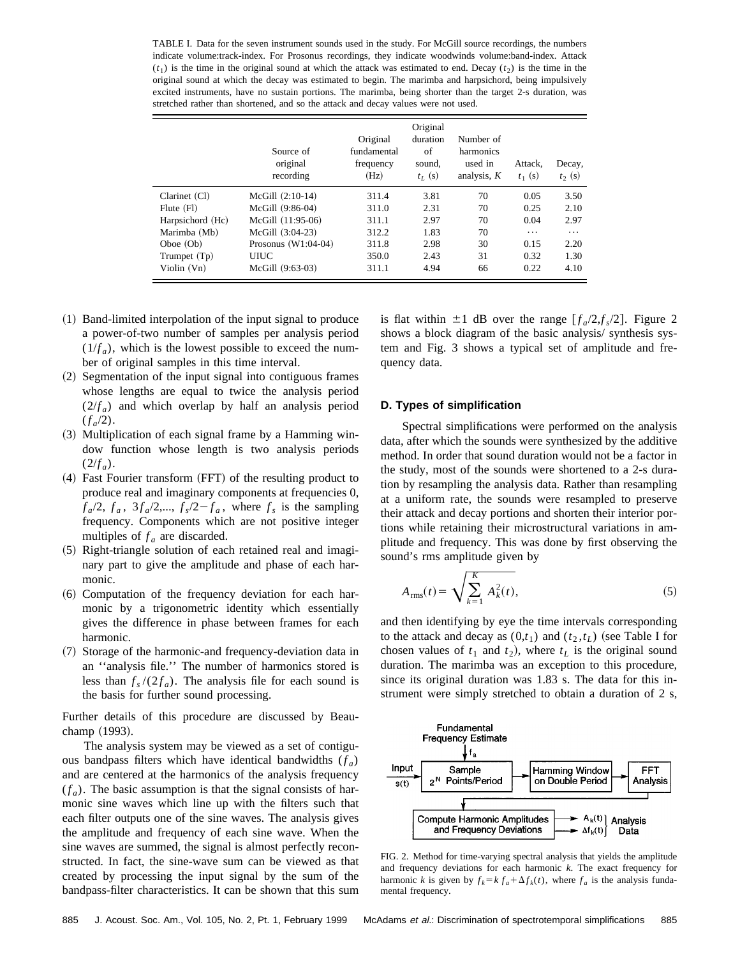TABLE I. Data for the seven instrument sounds used in the study. For McGill source recordings, the numbers indicate volume:track-index. For Prosonus recordings, they indicate woodwinds volume:band-index. Attack  $(t<sub>1</sub>)$  is the time in the original sound at which the attack was estimated to end. Decay  $(t<sub>2</sub>)$  is the time in the original sound at which the decay was estimated to begin. The marimba and harpsichord, being impulsively excited instruments, have no sustain portions. The marimba, being shorter than the target 2-s duration, was stretched rather than shortened, and so the attack and decay values were not used.

|                  | Source of<br>original<br>recording | Original<br>fundamental<br>frequency<br>(Hz) | Original<br>duration<br>of<br>sound,<br>$t_L(s)$ | Number of<br>harmonics<br>used in<br>analysis, $K$ | Attack.<br>$t_1$ (s) | Decay,<br>$t_2$ (s) |
|------------------|------------------------------------|----------------------------------------------|--------------------------------------------------|----------------------------------------------------|----------------------|---------------------|
| Clarinet (Cl)    | $McGill (2:10-14)$                 | 311.4                                        | 3.81                                             | 70                                                 | 0.05                 | 3.50                |
| $Flute$ $(Fl)$   | $McGill (9:86-04)$                 | 311.0                                        | 2.31                                             | 70                                                 | 0.25                 | 2.10                |
| Harpsichord (Hc) | McGill (11:95-06)                  | 311.1                                        | 2.97                                             | 70                                                 | 0.04                 | 2.97                |
| Marimba (Mb)     | McGill (3:04-23)                   | 312.2                                        | 1.83                                             | 70                                                 | $\cdots$             | $\cdots$            |
| Oboe (Ob)        | Prosonus $(W1:04-04)$              | 311.8                                        | 2.98                                             | 30                                                 | 0.15                 | 2.20                |
| Trumpet (Tp)     | <b>UIUC</b>                        | 350.0                                        | 2.43                                             | 31                                                 | 0.32                 | 1.30                |
| Violin (Vn)      | McGill $(9:63-03)$                 | 311.1                                        | 4.94                                             | 66                                                 | 0.22                 | 4.10                |

- $(1)$  Band-limited interpolation of the input signal to produce a power-of-two number of samples per analysis period  $(1/f_a)$ , which is the lowest possible to exceed the number of original samples in this time interval.
- ~2! Segmentation of the input signal into contiguous frames whose lengths are equal to twice the analysis period  $(2/f_a)$  and which overlap by half an analysis period  $(f_a/2)$ .
- $(3)$  Multiplication of each signal frame by a Hamming window function whose length is two analysis periods  $(2/f_a)$ .
- $(4)$  Fast Fourier transform  $(FFT)$  of the resulting product to produce real and imaginary components at frequencies 0,  $f_a/2$ ,  $f_a$ ,  $3f_a/2$ ,...,  $f_s/2 - f_a$ , where  $f_s$  is the sampling frequency. Components which are not positive integer multiples of  $f_a$  are discarded.
- ~5! Right-triangle solution of each retained real and imaginary part to give the amplitude and phase of each harmonic.
- $(6)$  Computation of the frequency deviation for each harmonic by a trigonometric identity which essentially gives the difference in phase between frames for each harmonic.
- ~7! Storage of the harmonic-and frequency-deviation data in an ''analysis file.'' The number of harmonics stored is less than  $f_s/(2f_a)$ . The analysis file for each sound is the basis for further sound processing.

Further details of this procedure are discussed by Beauchamp (1993).

The analysis system may be viewed as a set of contiguous bandpass filters which have identical bandwidths  $(f_a)$ and are centered at the harmonics of the analysis frequency  $(f_a)$ . The basic assumption is that the signal consists of harmonic sine waves which line up with the filters such that each filter outputs one of the sine waves. The analysis gives the amplitude and frequency of each sine wave. When the sine waves are summed, the signal is almost perfectly reconstructed. In fact, the sine-wave sum can be viewed as that created by processing the input signal by the sum of the bandpass-filter characteristics. It can be shown that this sum is flat within  $\pm 1$  dB over the range  $[f_a/2, f_s/2]$ . Figure 2 shows a block diagram of the basic analysis/ synthesis system and Fig. 3 shows a typical set of amplitude and frequency data.

#### **D. Types of simplification**

Spectral simplifications were performed on the analysis data, after which the sounds were synthesized by the additive method. In order that sound duration would not be a factor in the study, most of the sounds were shortened to a 2-s duration by resampling the analysis data. Rather than resampling at a uniform rate, the sounds were resampled to preserve their attack and decay portions and shorten their interior portions while retaining their microstructural variations in amplitude and frequency. This was done by first observing the sound's rms amplitude given by

$$
A_{\rm rms}(t) = \sqrt{\sum_{k=1}^{K} A_k^2(t)},
$$
\n(5)

and then identifying by eye the time intervals corresponding to the attack and decay as  $(0,t_1)$  and  $(t_2,t_L)$  (see Table I for chosen values of  $t_1$  and  $t_2$ ), where  $t_L$  is the original sound duration. The marimba was an exception to this procedure, since its original duration was 1.83 s. The data for this instrument were simply stretched to obtain a duration of 2 s,



FIG. 2. Method for time-varying spectral analysis that yields the amplitude and frequency deviations for each harmonic *k*. The exact frequency for harmonic *k* is given by  $f_k = k f_a + \Delta f_k(t)$ , where  $f_a$  is the analysis fundamental frequency.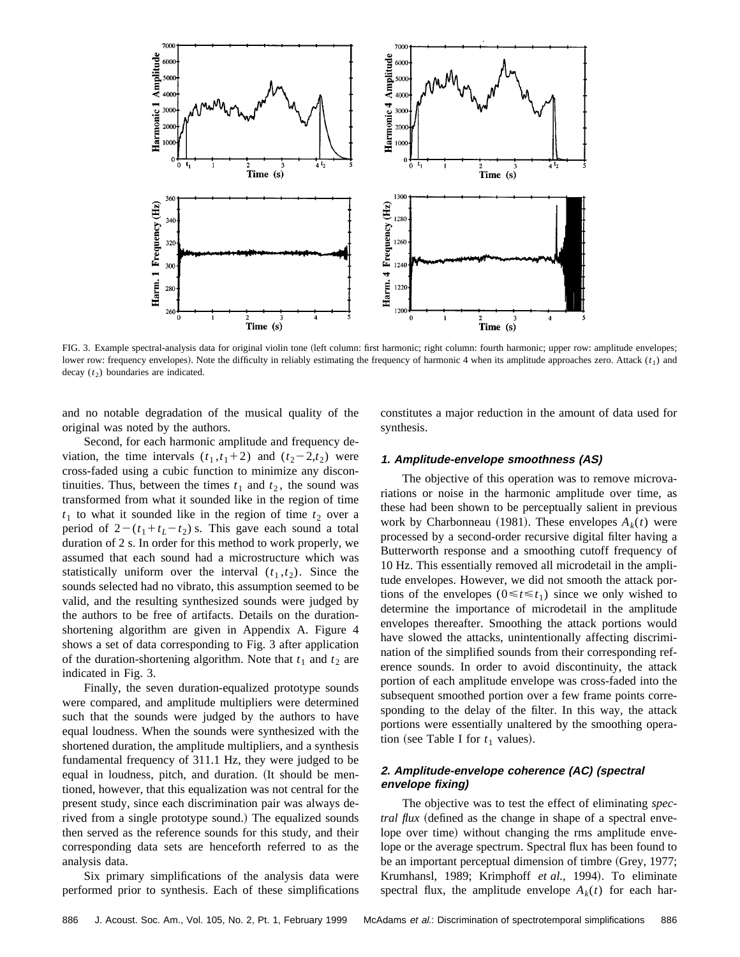

FIG. 3. Example spectral-analysis data for original violin tone (left column: first harmonic; right column: fourth harmonic; upper row: amplitude envelopes; lower row: frequency envelopes). Note the difficulty in reliably estimating the frequency of harmonic 4 when its amplitude approaches zero. Attack ( $t_1$ ) and decay  $(t_2)$  boundaries are indicated.

and no notable degradation of the musical quality of the original was noted by the authors.

Second, for each harmonic amplitude and frequency deviation, the time intervals  $(t_1, t_1+2)$  and  $(t_2-2, t_2)$  were cross-faded using a cubic function to minimize any discontinuities. Thus, between the times  $t_1$  and  $t_2$ , the sound was transformed from what it sounded like in the region of time  $t_1$  to what it sounded like in the region of time  $t_2$  over a period of  $2-(t_1+t_L-t_2)$  s. This gave each sound a total duration of 2 s. In order for this method to work properly, we assumed that each sound had a microstructure which was statistically uniform over the interval  $(t_1, t_2)$ . Since the sounds selected had no vibrato, this assumption seemed to be valid, and the resulting synthesized sounds were judged by the authors to be free of artifacts. Details on the durationshortening algorithm are given in Appendix A. Figure 4 shows a set of data corresponding to Fig. 3 after application of the duration-shortening algorithm. Note that  $t_1$  and  $t_2$  are indicated in Fig. 3.

Finally, the seven duration-equalized prototype sounds were compared, and amplitude multipliers were determined such that the sounds were judged by the authors to have equal loudness. When the sounds were synthesized with the shortened duration, the amplitude multipliers, and a synthesis fundamental frequency of 311.1 Hz, they were judged to be equal in loudness, pitch, and duration. (It should be mentioned, however, that this equalization was not central for the present study, since each discrimination pair was always derived from a single prototype sound.) The equalized sounds then served as the reference sounds for this study, and their corresponding data sets are henceforth referred to as the analysis data.

Six primary simplifications of the analysis data were performed prior to synthesis. Each of these simplifications constitutes a major reduction in the amount of data used for synthesis.

#### **1. Amplitude-envelope smoothness (AS)**

The objective of this operation was to remove microvariations or noise in the harmonic amplitude over time, as these had been shown to be perceptually salient in previous work by Charbonneau (1981). These envelopes  $A_k(t)$  were processed by a second-order recursive digital filter having a Butterworth response and a smoothing cutoff frequency of 10 Hz. This essentially removed all microdetail in the amplitude envelopes. However, we did not smooth the attack portions of the envelopes  $(0 \le t \le t_1)$  since we only wished to determine the importance of microdetail in the amplitude envelopes thereafter. Smoothing the attack portions would have slowed the attacks, unintentionally affecting discrimination of the simplified sounds from their corresponding reference sounds. In order to avoid discontinuity, the attack portion of each amplitude envelope was cross-faded into the subsequent smoothed portion over a few frame points corresponding to the delay of the filter. In this way, the attack portions were essentially unaltered by the smoothing operation (see Table I for  $t_1$  values).

## **2. Amplitude-envelope coherence (AC) (spectral envelope fixing)**

The objective was to test the effect of eliminating *spectral flux* (defined as the change in shape of a spectral envelope over time) without changing the rms amplitude envelope or the average spectrum. Spectral flux has been found to be an important perceptual dimension of timbre (Grey, 1977; Krumhansl, 1989; Krimphoff et al., 1994). To eliminate spectral flux, the amplitude envelope  $A_k(t)$  for each har-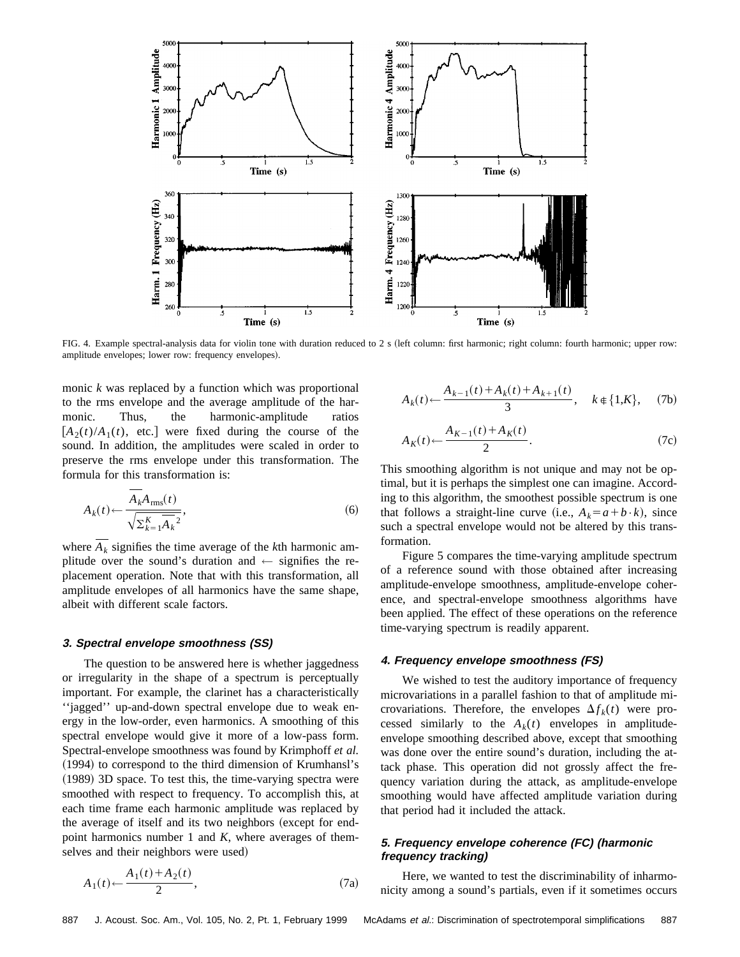

FIG. 4. Example spectral-analysis data for violin tone with duration reduced to 2 s (left column: first harmonic; right column: fourth harmonic; upper row: amplitude envelopes; lower row: frequency envelopes).

monic *k* was replaced by a function which was proportional to the rms envelope and the average amplitude of the harmonic. Thus, the harmonic-amplitude ratios  $[A_2(t)/A_1(t)]$ , etc. were fixed during the course of the sound. In addition, the amplitudes were scaled in order to preserve the rms envelope under this transformation. The formula for this transformation is:

$$
A_k(t) \leftarrow \frac{A_k A_{\text{rms}}(t)}{\sqrt{\sum_{k=1}^K \overline{A_k}^2}},\tag{6}
$$

where  $A_k$  signifies the time average of the *k*th harmonic amplitude over the sound's duration and  $\leftarrow$  signifies the replacement operation. Note that with this transformation, all amplitude envelopes of all harmonics have the same shape, albeit with different scale factors.

#### **3. Spectral envelope smoothness (SS)**

The question to be answered here is whether jaggedness or irregularity in the shape of a spectrum is perceptually important. For example, the clarinet has a characteristically ''jagged'' up-and-down spectral envelope due to weak energy in the low-order, even harmonics. A smoothing of this spectral envelope would give it more of a low-pass form. Spectral-envelope smoothness was found by Krimphoff *et al.*  $(1994)$  to correspond to the third dimension of Krumhansl's  $(1989)$  3D space. To test this, the time-varying spectra were smoothed with respect to frequency. To accomplish this, at each time frame each harmonic amplitude was replaced by the average of itself and its two neighbors (except for endpoint harmonics number 1 and *K*, where averages of themselves and their neighbors were used)

$$
A_1(t) \leftarrow \frac{A_1(t) + A_2(t)}{2},\tag{7a}
$$

$$
A_k(t) \leftarrow \frac{A_{k-1}(t) + A_k(t) + A_{k+1}(t)}{3}, \quad k \in \{1, K\}, \quad (7b)
$$

$$
A_K(t) \leftarrow \frac{A_{K-1}(t) + A_K(t)}{2}.
$$
 (7c)

This smoothing algorithm is not unique and may not be optimal, but it is perhaps the simplest one can imagine. According to this algorithm, the smoothest possible spectrum is one that follows a straight-line curve (i.e.,  $A_k = a + b \cdot k$ ), since such a spectral envelope would not be altered by this transformation.

Figure 5 compares the time-varying amplitude spectrum of a reference sound with those obtained after increasing amplitude-envelope smoothness, amplitude-envelope coherence, and spectral-envelope smoothness algorithms have been applied. The effect of these operations on the reference time-varying spectrum is readily apparent.

#### **4. Frequency envelope smoothness (FS)**

We wished to test the auditory importance of frequency microvariations in a parallel fashion to that of amplitude microvariations. Therefore, the envelopes  $\Delta f_k(t)$  were processed similarly to the  $A_k(t)$  envelopes in amplitudeenvelope smoothing described above, except that smoothing was done over the entire sound's duration, including the attack phase. This operation did not grossly affect the frequency variation during the attack, as amplitude-envelope smoothing would have affected amplitude variation during that period had it included the attack.

## **5. Frequency envelope coherence (FC) (harmonic frequency tracking)**

Here, we wanted to test the discriminability of inharmonicity among a sound's partials, even if it sometimes occurs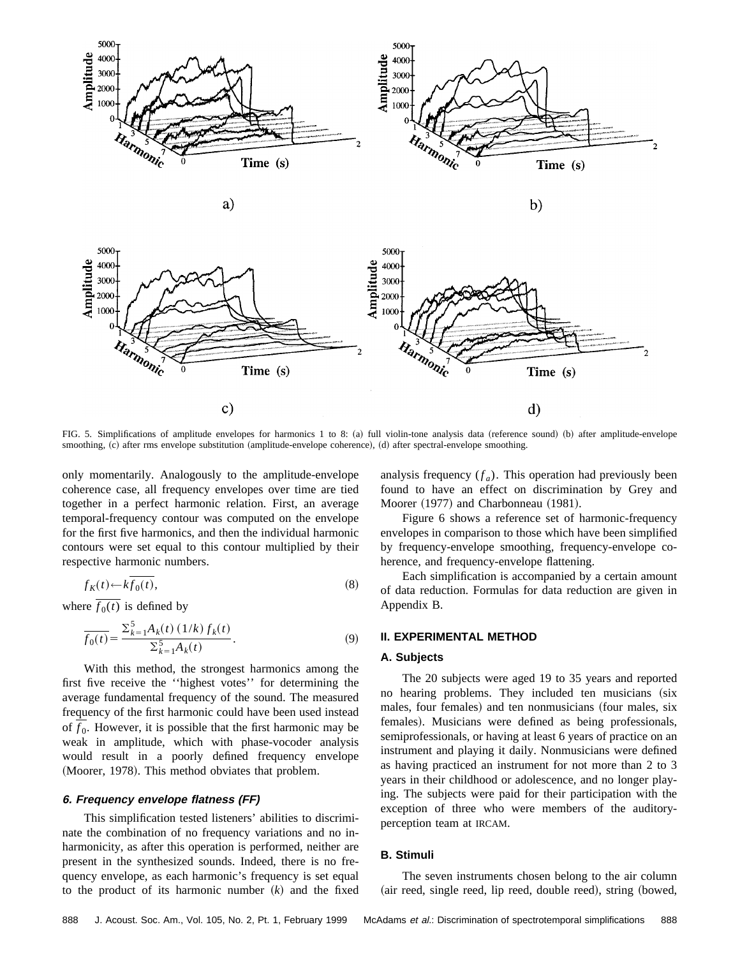

FIG. 5. Simplifications of amplitude envelopes for harmonics 1 to 8: (a) full violin-tone analysis data (reference sound) (b) after amplitude-envelope smoothing, (c) after rms envelope substitution (amplitude-envelope coherence), (d) after spectral-envelope smoothing.

only momentarily. Analogously to the amplitude-envelope coherence case, all frequency envelopes over time are tied together in a perfect harmonic relation. First, an average temporal-frequency contour was computed on the envelope for the first five harmonics, and then the individual harmonic contours were set equal to this contour multiplied by their respective harmonic numbers.

$$
f_K(t) \leftarrow kf_0(t),\tag{8}
$$

where  $\overline{f_0(t)}$  is defined by

$$
\overline{f_0(t)} = \frac{\sum_{k=1}^{5} A_k(t) (1/k) f_k(t)}{\sum_{k=1}^{5} A_k(t)}.
$$
\n(9)

With this method, the strongest harmonics among the first five receive the ''highest votes'' for determining the average fundamental frequency of the sound. The measured frequency of the first harmonic could have been used instead of  $f_0$ . However, it is possible that the first harmonic may be weak in amplitude, which with phase-vocoder analysis would result in a poorly defined frequency envelope (Moorer, 1978). This method obviates that problem.

## **6. Frequency envelope flatness (FF)**

This simplification tested listeners' abilities to discriminate the combination of no frequency variations and no inharmonicity, as after this operation is performed, neither are present in the synthesized sounds. Indeed, there is no frequency envelope, as each harmonic's frequency is set equal to the product of its harmonic number  $(k)$  and the fixed analysis frequency  $(f_a)$ . This operation had previously been found to have an effect on discrimination by Grey and Moorer (1977) and Charbonneau (1981).

Figure 6 shows a reference set of harmonic-frequency envelopes in comparison to those which have been simplified by frequency-envelope smoothing, frequency-envelope coherence, and frequency-envelope flattening.

Each simplification is accompanied by a certain amount of data reduction. Formulas for data reduction are given in Appendix B.

#### **II. EXPERIMENTAL METHOD**

#### **A. Subjects**

The 20 subjects were aged 19 to 35 years and reported no hearing problems. They included ten musicians (six males, four females) and ten nonmusicians (four males, six females). Musicians were defined as being professionals, semiprofessionals, or having at least 6 years of practice on an instrument and playing it daily. Nonmusicians were defined as having practiced an instrument for not more than 2 to 3 years in their childhood or adolescence, and no longer playing. The subjects were paid for their participation with the exception of three who were members of the auditoryperception team at IRCAM.

#### **B. Stimuli**

The seven instruments chosen belong to the air column (air reed, single reed, lip reed, double reed), string (bowed,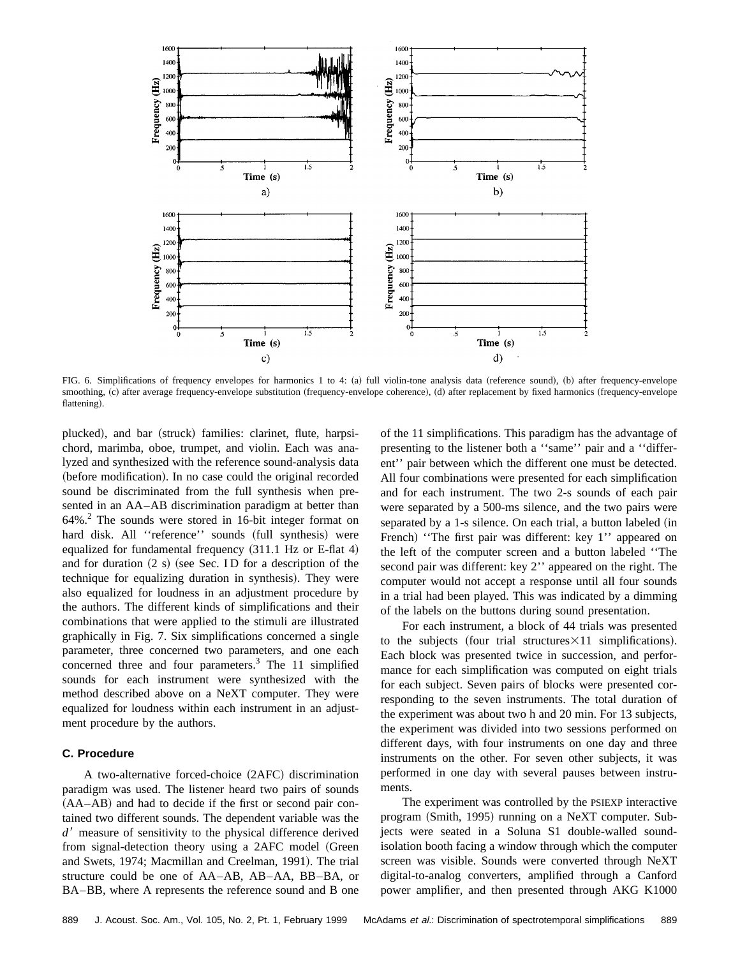

FIG. 6. Simplifications of frequency envelopes for harmonics 1 to 4: (a) full violin-tone analysis data (reference sound), (b) after frequency-envelope smoothing, (c) after average frequency-envelope substitution (frequency-envelope coherence), (d) after replacement by fixed harmonics (frequency-envelope flattening).

plucked), and bar (struck) families: clarinet, flute, harpsichord, marimba, oboe, trumpet, and violin. Each was analyzed and synthesized with the reference sound-analysis data (before modification). In no case could the original recorded sound be discriminated from the full synthesis when presented in an AA–AB discrimination paradigm at better than 64%.<sup>2</sup> The sounds were stored in 16-bit integer format on hard disk. All "reference" sounds (full synthesis) were equalized for fundamental frequency  $(311.1 \text{ Hz or } E \text{-flat } 4)$ and for duration  $(2 s)$  (see Sec. ID for a description of the technique for equalizing duration in synthesis). They were also equalized for loudness in an adjustment procedure by the authors. The different kinds of simplifications and their combinations that were applied to the stimuli are illustrated graphically in Fig. 7. Six simplifications concerned a single parameter, three concerned two parameters, and one each concerned three and four parameters. $3$  The 11 simplified sounds for each instrument were synthesized with the method described above on a NeXT computer. They were equalized for loudness within each instrument in an adjustment procedure by the authors.

## **C. Procedure**

A two-alternative forced-choice (2AFC) discrimination paradigm was used. The listener heard two pairs of sounds  $(AA-AB)$  and had to decide if the first or second pair contained two different sounds. The dependent variable was the *d*<sup> $\prime$ </sup> measure of sensitivity to the physical difference derived from signal-detection theory using a 2AFC model (Green and Swets, 1974; Macmillan and Creelman, 1991). The trial structure could be one of AA–AB, AB–AA, BB–BA, or BA–BB, where A represents the reference sound and B one of the 11 simplifications. This paradigm has the advantage of presenting to the listener both a ''same'' pair and a ''different'' pair between which the different one must be detected. All four combinations were presented for each simplification and for each instrument. The two 2-s sounds of each pair were separated by a 500-ms silence, and the two pairs were separated by a  $1$ -s silence. On each trial, a button labeled  $(in)$ French) "The first pair was different: key 1" appeared on the left of the computer screen and a button labeled ''The second pair was different: key 2'' appeared on the right. The computer would not accept a response until all four sounds in a trial had been played. This was indicated by a dimming of the labels on the buttons during sound presentation.

For each instrument, a block of 44 trials was presented to the subjects (four trial structures $\times$ 11 simplifications). Each block was presented twice in succession, and performance for each simplification was computed on eight trials for each subject. Seven pairs of blocks were presented corresponding to the seven instruments. The total duration of the experiment was about two h and 20 min. For 13 subjects, the experiment was divided into two sessions performed on different days, with four instruments on one day and three instruments on the other. For seven other subjects, it was performed in one day with several pauses between instruments.

The experiment was controlled by the PSIEXP interactive program (Smith, 1995) running on a NeXT computer. Subjects were seated in a Soluna S1 double-walled soundisolation booth facing a window through which the computer screen was visible. Sounds were converted through NeXT digital-to-analog converters, amplified through a Canford power amplifier, and then presented through AKG K1000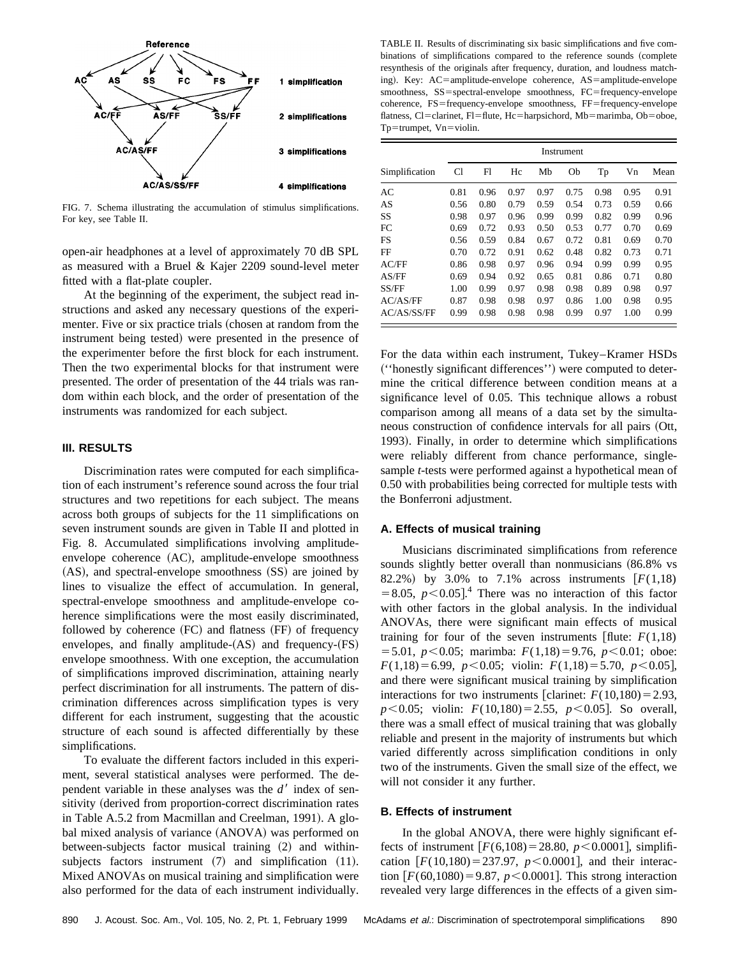

FIG. 7. Schema illustrating the accumulation of stimulus simplifications. For key, see Table II.

open-air headphones at a level of approximately 70 dB SPL as measured with a Bruel & Kajer 2209 sound-level meter fitted with a flat-plate coupler.

At the beginning of the experiment, the subject read instructions and asked any necessary questions of the experimenter. Five or six practice trials (chosen at random from the instrument being tested) were presented in the presence of the experimenter before the first block for each instrument. Then the two experimental blocks for that instrument were presented. The order of presentation of the 44 trials was random within each block, and the order of presentation of the instruments was randomized for each subject.

#### **III. RESULTS**

Discrimination rates were computed for each simplification of each instrument's reference sound across the four trial structures and two repetitions for each subject. The means across both groups of subjects for the 11 simplifications on seven instrument sounds are given in Table II and plotted in Fig. 8. Accumulated simplifications involving amplitudeenvelope coherence (AC), amplitude-envelope smoothness  $(AS)$ , and spectral-envelope smoothness  $(SS)$  are joined by lines to visualize the effect of accumulation. In general, spectral-envelope smoothness and amplitude-envelope coherence simplifications were the most easily discriminated, followed by coherence  $(FC)$  and flatness  $(FF)$  of frequency envelopes, and finally amplitude- $(AS)$  and frequency- $(FS)$ envelope smoothness. With one exception, the accumulation of simplifications improved discrimination, attaining nearly perfect discrimination for all instruments. The pattern of discrimination differences across simplification types is very different for each instrument, suggesting that the acoustic structure of each sound is affected differentially by these simplifications.

To evaluate the different factors included in this experiment, several statistical analyses were performed. The dependent variable in these analyses was the  $d'$  index of sensitivity (derived from proportion-correct discrimination rates in Table A.5.2 from Macmillan and Creelman, 1991). A global mixed analysis of variance (ANOVA) was performed on between-subjects factor musical training (2) and withinsubjects factors instrument  $(7)$  and simplification  $(11)$ . Mixed ANOVAs on musical training and simplification were also performed for the data of each instrument individually.

TABLE II. Results of discriminating six basic simplifications and five combinations of simplifications compared to the reference sounds (complete resynthesis of the originals after frequency, duration, and loudness matching). Key: AC=amplitude-envelope coherence, AS=amplitude-envelope smoothness, SS=spectral-envelope smoothness, FC=frequency-envelope coherence, FS=frequency-envelope smoothness, FF=frequency-envelope flatness, Cl=clarinet, Fl=flute, Hc=harpsichord, Mb=marimba, Ob=oboe,  $Tp =$ trumpet, Vn=violin.

|                | Instrument |      |      |      |      |      |      |      |
|----------------|------------|------|------|------|------|------|------|------|
| Simplification | C1         | Fl   | Hc   | Mb   | Ob   | Tp   | Vn   | Mean |
| AC             | 0.81       | 0.96 | 0.97 | 0.97 | 0.75 | 0.98 | 0.95 | 0.91 |
| AS             | 0.56       | 0.80 | 0.79 | 0.59 | 0.54 | 0.73 | 0.59 | 0.66 |
| SS             | 0.98       | 0.97 | 0.96 | 0.99 | 0.99 | 0.82 | 0.99 | 0.96 |
| FC.            | 0.69       | 0.72 | 0.93 | 0.50 | 0.53 | 0.77 | 0.70 | 0.69 |
| FS             | 0.56       | 0.59 | 0.84 | 0.67 | 0.72 | 0.81 | 0.69 | 0.70 |
| FF             | 0.70       | 0.72 | 0.91 | 0.62 | 0.48 | 0.82 | 0.73 | 0.71 |
| AC/FF          | 0.86       | 0.98 | 0.97 | 0.96 | 0.94 | 0.99 | 0.99 | 0.95 |
| AS/FF          | 0.69       | 0.94 | 0.92 | 0.65 | 0.81 | 0.86 | 0.71 | 0.80 |
| SS/FF          | 1.00       | 0.99 | 0.97 | 0.98 | 0.98 | 0.89 | 0.98 | 0.97 |
| AC/AS/FF       | 0.87       | 0.98 | 0.98 | 0.97 | 0.86 | 1.00 | 0.98 | 0.95 |
| AC/AS/SS/FF    | 0.99       | 0.98 | 0.98 | 0.98 | 0.99 | 0.97 | 1.00 | 0.99 |

For the data within each instrument, Tukey–Kramer HSDs ~''honestly significant differences''! were computed to determine the critical difference between condition means at a significance level of 0.05. This technique allows a robust comparison among all means of a data set by the simultaneous construction of confidence intervals for all pairs (Ott, 1993). Finally, in order to determine which simplifications were reliably different from chance performance, singlesample *t*-tests were performed against a hypothetical mean of 0.50 with probabilities being corrected for multiple tests with the Bonferroni adjustment.

#### **A. Effects of musical training**

Musicians discriminated simplifications from reference sounds slightly better overall than nonmusicians (86.8% vs 82.2%) by 3.0% to 7.1% across instruments  $[F(1,18)]$  $=8.05, p<0.05$ <sup>4</sup>. There was no interaction of this factor with other factors in the global analysis. In the individual ANOVAs, there were significant main effects of musical training for four of the seven instruments  $[$ flute:  $F(1,18)$  $=$  5.01, *p*<0.05; marimba: *F*(1,18)=9.76, *p*<0.01; oboe:  $F(1,18)=6.99, p<0.05$ ; violin:  $F(1,18)=5.70, p<0.05$ , and there were significant musical training by simplification interactions for two instruments [clarinet:  $F(10,180) = 2.93$ ,  $p$ <0.05; violin:  $F(10,180) = 2.55$ ,  $p$ <0.05]. So overall, there was a small effect of musical training that was globally reliable and present in the majority of instruments but which varied differently across simplification conditions in only two of the instruments. Given the small size of the effect, we will not consider it any further.

#### **B. Effects of instrument**

In the global ANOVA, there were highly significant effects of instrument  $[F(6,108) = 28.80, p < 0.0001]$ , simplification  $[F(10,180) = 237.97, p < 0.0001]$ , and their interaction  $[F(60,1080) = 9.87, p < 0.0001]$ . This strong interaction revealed very large differences in the effects of a given sim-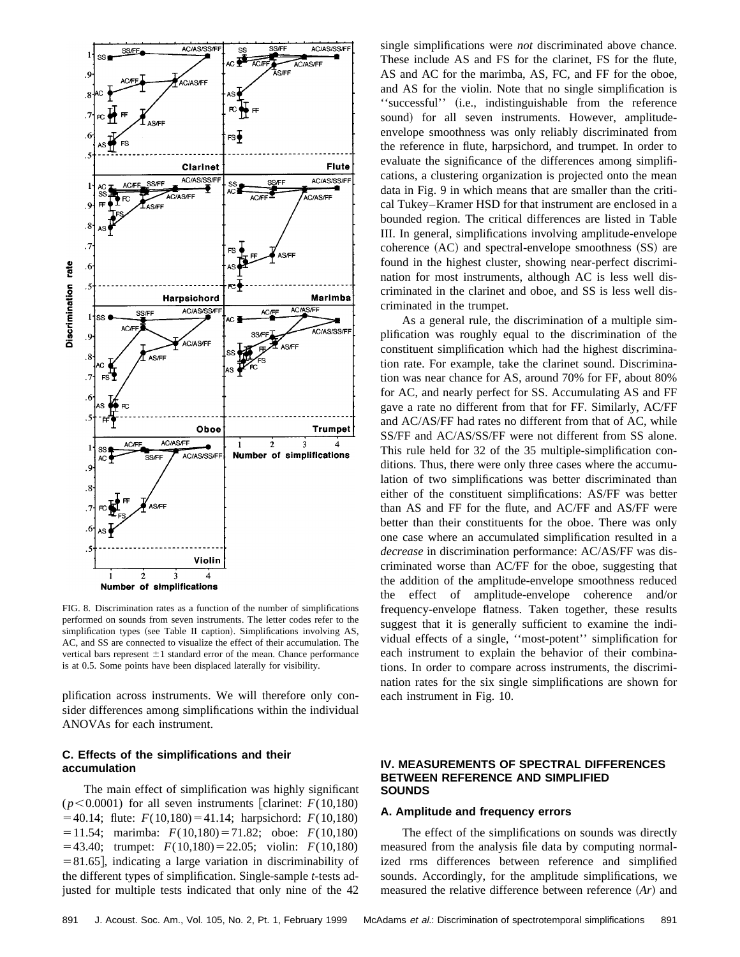

FIG. 8. Discrimination rates as a function of the number of simplifications performed on sounds from seven instruments. The letter codes refer to the simplification types (see Table II caption). Simplifications involving AS, AC, and SS are connected to visualize the effect of their accumulation. The vertical bars represent  $\pm 1$  standard error of the mean. Chance performance is at 0.5. Some points have been displaced laterally for visibility.

plification across instruments. We will therefore only consider differences among simplifications within the individual ANOVAs for each instrument.

#### **C. Effects of the simplifications and their accumulation**

The main effect of simplification was highly significant  $(p<0.0001)$  for all seven instruments [clarinet:  $F(10,180)$ ]  $=$  40.14; flute:  $F(10,180) = 41.14$ ; harpsichord:  $F(10,180)$  $=$  11.54; marimba:  $F(10,180) = 71.82$ ; oboe:  $F(10,180)$  $=$  43.40; trumpet:  $F(10,180) = 22.05$ ; violin:  $F(10,180)$  $= 81.65$ , indicating a large variation in discriminability of the different types of simplification. Single-sample *t*-tests adjusted for multiple tests indicated that only nine of the 42 single simplifications were *not* discriminated above chance. These include AS and FS for the clarinet, FS for the flute, AS and AC for the marimba, AS, FC, and FF for the oboe, and AS for the violin. Note that no single simplification is "successful" (i.e., indistinguishable from the reference sound) for all seven instruments. However, amplitudeenvelope smoothness was only reliably discriminated from the reference in flute, harpsichord, and trumpet. In order to evaluate the significance of the differences among simplifications, a clustering organization is projected onto the mean data in Fig. 9 in which means that are smaller than the critical Tukey–Kramer HSD for that instrument are enclosed in a bounded region. The critical differences are listed in Table III. In general, simplifications involving amplitude-envelope  $coherence (AC)$  and spectral-envelope smoothness  $(SS)$  are found in the highest cluster, showing near-perfect discrimination for most instruments, although AC is less well discriminated in the clarinet and oboe, and SS is less well discriminated in the trumpet.

As a general rule, the discrimination of a multiple simplification was roughly equal to the discrimination of the constituent simplification which had the highest discrimination rate. For example, take the clarinet sound. Discrimination was near chance for AS, around 70% for FF, about 80% for AC, and nearly perfect for SS. Accumulating AS and FF gave a rate no different from that for FF. Similarly, AC/FF and AC/AS/FF had rates no different from that of AC, while SS/FF and AC/AS/SS/FF were not different from SS alone. This rule held for 32 of the 35 multiple-simplification conditions. Thus, there were only three cases where the accumulation of two simplifications was better discriminated than either of the constituent simplifications: AS/FF was better than AS and FF for the flute, and AC/FF and AS/FF were better than their constituents for the oboe. There was only one case where an accumulated simplification resulted in a *decrease* in discrimination performance: AC/AS/FF was discriminated worse than AC/FF for the oboe, suggesting that the addition of the amplitude-envelope smoothness reduced the effect of amplitude-envelope coherence and/or frequency-envelope flatness. Taken together, these results suggest that it is generally sufficient to examine the individual effects of a single, ''most-potent'' simplification for each instrument to explain the behavior of their combinations. In order to compare across instruments, the discrimination rates for the six single simplifications are shown for each instrument in Fig. 10.

#### **IV. MEASUREMENTS OF SPECTRAL DIFFERENCES BETWEEN REFERENCE AND SIMPLIFIED SOUNDS**

#### **A. Amplitude and frequency errors**

The effect of the simplifications on sounds was directly measured from the analysis file data by computing normalized rms differences between reference and simplified sounds. Accordingly, for the amplitude simplifications, we measured the relative difference between reference  $(Ar)$  and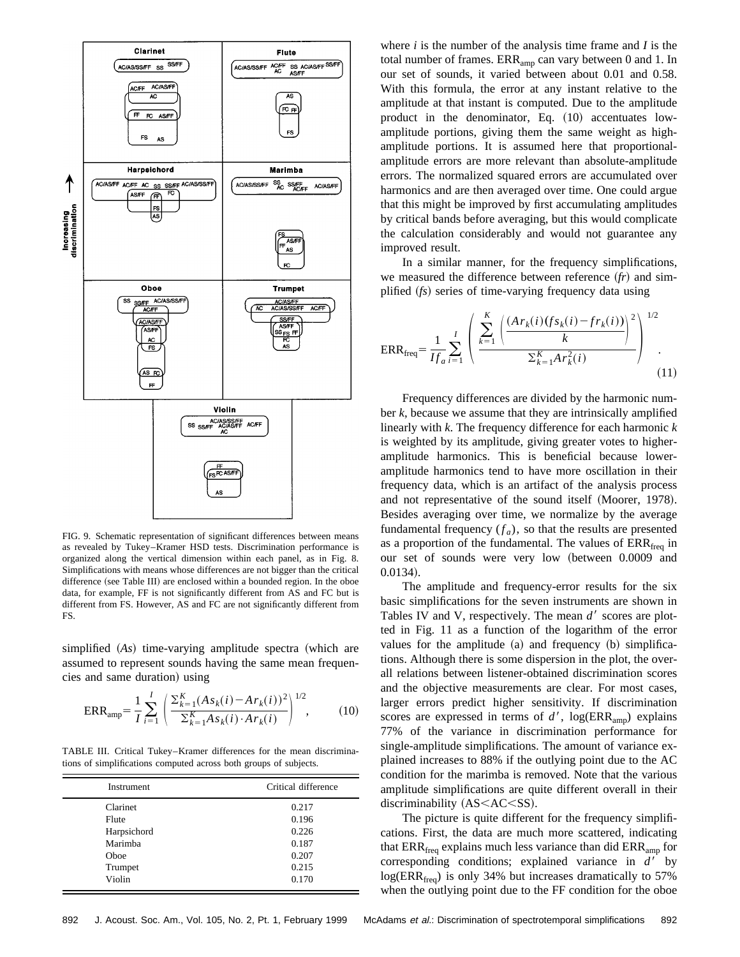

FIG. 9. Schematic representation of significant differences between means as revealed by Tukey–Kramer HSD tests. Discrimination performance is organized along the vertical dimension within each panel, as in Fig. 8. Simplifications with means whose differences are not bigger than the critical difference (see Table III) are enclosed within a bounded region. In the oboe data, for example, FF is not significantly different from AS and FC but is different from FS. However, AS and FC are not significantly different from FS.

simplified (As) time-varying amplitude spectra (which are assumed to represent sounds having the same mean frequencies and same duration) using

$$
ERR_{amp} = \frac{1}{I} \sum_{i=1}^{I} \left( \frac{\sum_{k=1}^{K} (As_k(i) - Ar_k(i))^2}{\sum_{k=1}^{K} As_k(i) \cdot Ar_k(i)} \right)^{1/2}, \quad (10)
$$

TABLE III. Critical Tukey–Kramer differences for the mean discriminations of simplifications computed across both groups of subjects.

| Instrument  | Critical difference |
|-------------|---------------------|
| Clarinet    | 0.217               |
| Flute       | 0.196               |
| Harpsichord | 0.226               |
| Marimba     | 0.187               |
| Oboe        | 0.207               |
| Trumpet     | 0.215               |
| Violin      | 0.170               |

where *i* is the number of the analysis time frame and *I* is the total number of frames.  $ERR_{amp}$  can vary between 0 and 1. In our set of sounds, it varied between about 0.01 and 0.58. With this formula, the error at any instant relative to the amplitude at that instant is computed. Due to the amplitude product in the denominator, Eq.  $(10)$  accentuates lowamplitude portions, giving them the same weight as highamplitude portions. It is assumed here that proportionalamplitude errors are more relevant than absolute-amplitude errors. The normalized squared errors are accumulated over harmonics and are then averaged over time. One could argue that this might be improved by first accumulating amplitudes by critical bands before averaging, but this would complicate the calculation considerably and would not guarantee any improved result.

In a similar manner, for the frequency simplifications, we measured the difference between reference  $(*fr*)$  and simplified (fs) series of time-varying frequency data using

$$
ERR_{freq} = \frac{1}{If_a} \sum_{i=1}^{I} \left( \frac{\sum_{k=1}^{K} \left( \frac{(Ar_k(i)(fs_k(i) - fr_k(i))}{k} \right)^2}{\sum_{k=1}^{K} Ar_k^2(i)} \right)^{1/2}.
$$
\n(11)

Frequency differences are divided by the harmonic number *k*, because we assume that they are intrinsically amplified linearly with *k*. The frequency difference for each harmonic *k* is weighted by its amplitude, giving greater votes to higheramplitude harmonics. This is beneficial because loweramplitude harmonics tend to have more oscillation in their frequency data, which is an artifact of the analysis process and not representative of the sound itself (Moorer, 1978). Besides averaging over time, we normalize by the average fundamental frequency  $(f_a)$ , so that the results are presented as a proportion of the fundamental. The values of  $ERR_{freq}$  in our set of sounds were very low (between 0.0009 and  $0.0134$ .

The amplitude and frequency-error results for the six basic simplifications for the seven instruments are shown in Tables IV and V, respectively. The mean  $d'$  scores are plotted in Fig. 11 as a function of the logarithm of the error values for the amplitude  $(a)$  and frequency  $(b)$  simplifications. Although there is some dispersion in the plot, the overall relations between listener-obtained discrimination scores and the objective measurements are clear. For most cases, larger errors predict higher sensitivity. If discrimination scores are expressed in terms of  $d'$ , log(ERR<sub>amp</sub>) explains 77% of the variance in discrimination performance for single-amplitude simplifications. The amount of variance explained increases to 88% if the outlying point due to the AC condition for the marimba is removed. Note that the various amplitude simplifications are quite different overall in their discriminability  $(AS < AC < SS)$ .

The picture is quite different for the frequency simplifications. First, the data are much more scattered, indicating that  $ERR_{freq}$  explains much less variance than did  $ERR_{amp}$  for corresponding conditions; explained variance in *d'* by  $log(ERR_{freq})$  is only 34% but increases dramatically to 57% when the outlying point due to the FF condition for the oboe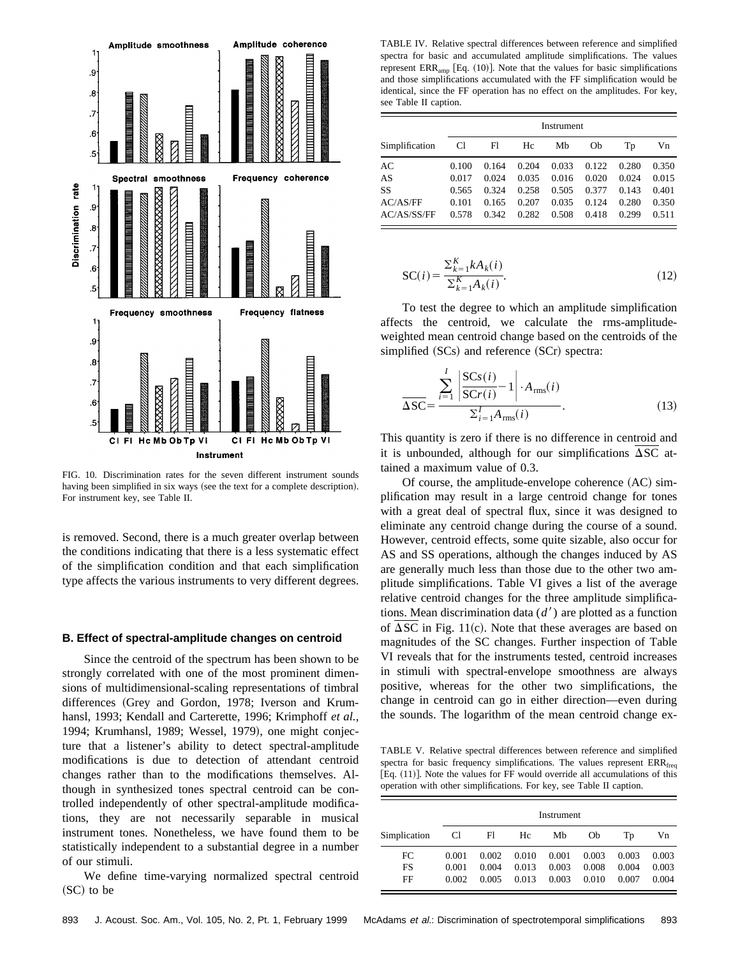

FIG. 10. Discrimination rates for the seven different instrument sounds having been simplified in six ways (see the text for a complete description). For instrument key, see Table II.

is removed. Second, there is a much greater overlap between the conditions indicating that there is a less systematic effect of the simplification condition and that each simplification type affects the various instruments to very different degrees.

#### **B. Effect of spectral-amplitude changes on centroid**

Since the centroid of the spectrum has been shown to be strongly correlated with one of the most prominent dimensions of multidimensional-scaling representations of timbral differences (Grey and Gordon, 1978; Iverson and Krumhansl, 1993; Kendall and Carterette, 1996; Krimphoff *et al.*, 1994; Krumhansl, 1989; Wessel, 1979), one might conjecture that a listener's ability to detect spectral-amplitude modifications is due to detection of attendant centroid changes rather than to the modifications themselves. Although in synthesized tones spectral centroid can be controlled independently of other spectral-amplitude modifications, they are not necessarily separable in musical instrument tones. Nonetheless, we have found them to be statistically independent to a substantial degree in a number of our stimuli.

We define time-varying normalized spectral centroid  $(SC)$  to be

TABLE IV. Relative spectral differences between reference and simplified spectra for basic and accumulated amplitude simplifications. The values represent  $ERR_{amp}$  [Eq. (10)]. Note that the values for basic simplifications and those simplifications accumulated with the FF simplification would be identical, since the FF operation has no effect on the amplitudes. For key, see Table II caption.

|                         |                | Instrument     |                |                |                |                |                |  |  |  |
|-------------------------|----------------|----------------|----------------|----------------|----------------|----------------|----------------|--|--|--|
| Simplification          | Cl             | Fl             | Hc             | Mb             | Ob             | Tp             | Vn             |  |  |  |
| AC                      | 0.100          | 0.164          | 0.204          | 0.033          | 0.122          | 0.280          | 0.350          |  |  |  |
| AS                      | 0.017          | 0.024          | 0.035          | 0.016          | 0.020          | 0.024          | 0.015          |  |  |  |
| SS                      | 0.565          | 0.324          | 0.258          | 0.505          | 0.377          | 0.143          | 0.401          |  |  |  |
| AC/AS/FF<br>AC/AS/SS/FF | 0.101<br>0.578 | 0.165<br>0.342 | 0.207<br>0.282 | 0.035<br>0.508 | 0.124<br>0.418 | 0.280<br>0.299 | 0.350<br>0.511 |  |  |  |

$$
SC(i) = \frac{\sum_{k=1}^{K} k A_k(i)}{\sum_{k=1}^{K} A_k(i)}.
$$
\n(12)

To test the degree to which an amplitude simplification affects the centroid, we calculate the rms-amplitudeweighted mean centroid change based on the centroids of the simplified  $(SCs)$  and reference  $(SCr)$  spectra:

$$
\frac{\sum_{i=1}^{I} \left| \frac{\text{SCs}(i)}{\text{SCr}(i)} - 1 \right| \cdot A_{\text{rms}}(i)}{\sum_{i=1}^{I} A_{\text{rms}}(i)}.
$$
(13)

This quantity is zero if there is no difference in centroid and it is unbounded, although for our simplifications  $\Delta SC$  attained a maximum value of 0.3.

Of course, the amplitude-envelope coherence  $(AC)$  simplification may result in a large centroid change for tones with a great deal of spectral flux, since it was designed to eliminate any centroid change during the course of a sound. However, centroid effects, some quite sizable, also occur for AS and SS operations, although the changes induced by AS are generally much less than those due to the other two amplitude simplifications. Table VI gives a list of the average relative centroid changes for the three amplitude simplifications. Mean discrimination data  $(d')$  are plotted as a function of  $\Delta$ SC in Fig. 11(c). Note that these averages are based on magnitudes of the SC changes. Further inspection of Table VI reveals that for the instruments tested, centroid increases in stimuli with spectral-envelope smoothness are always positive, whereas for the other two simplifications, the change in centroid can go in either direction—even during the sounds. The logarithm of the mean centroid change ex-

TABLE V. Relative spectral differences between reference and simplified spectra for basic frequency simplifications. The values represent ERR<sub>freq</sub> [Eq.  $(11)$ ]. Note the values for FF would override all accumulations of this operation with other simplifications. For key, see Table II caption.

|              |       | Instrument |       |       |       |       |       |  |
|--------------|-------|------------|-------|-------|-------|-------|-------|--|
| Simplication | Cl    | Fl         | Hc    | Mb    | Ob    | Tp    | Vn    |  |
| FC           | 0.001 | 0.002      | 0.010 | 0.001 | 0.003 | 0.003 | 0.003 |  |
| FS           | 0.001 | 0.004      | 0.013 | 0.003 | 0.008 | 0.004 | 0.003 |  |
| FF           | 0.002 | 0.005      | 0.013 | 0.003 | 0.010 | 0.007 | 0.004 |  |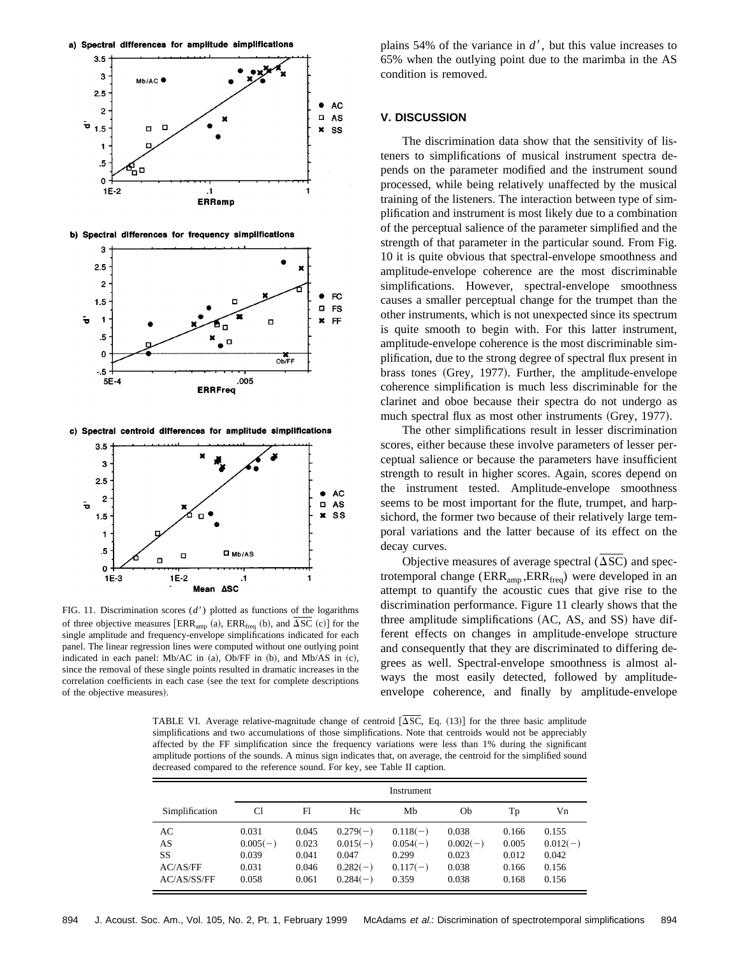

b) Spectral differences for frequency simplifications



c) Spectral centroid differences for amplitude simplifications



FIG. 11. Discrimination scores  $(d')$  plotted as functions of the logarithms of three objective measures  $\text{ERR}_{amp} (a)$ ,  $\text{ERR}_{freq} (b)$ , and  $\Delta SC (c)$  for the single amplitude and frequency-envelope simplifications indicated for each panel. The linear regression lines were computed without one outlying point indicated in each panel: Mb/AC in  $(a)$ , Ob/FF in  $(b)$ , and Mb/AS in  $(c)$ , since the removal of these single points resulted in dramatic increases in the correlation coefficients in each case (see the text for complete descriptions of the objective measures).

plains 54% of the variance in  $d'$ , but this value increases to 65% when the outlying point due to the marimba in the AS condition is removed.

#### **V. DISCUSSION**

The discrimination data show that the sensitivity of listeners to simplifications of musical instrument spectra depends on the parameter modified and the instrument sound processed, while being relatively unaffected by the musical training of the listeners. The interaction between type of simplification and instrument is most likely due to a combination of the perceptual salience of the parameter simplified and the strength of that parameter in the particular sound. From Fig. 10 it is quite obvious that spectral-envelope smoothness and amplitude-envelope coherence are the most discriminable simplifications. However, spectral-envelope smoothness causes a smaller perceptual change for the trumpet than the other instruments, which is not unexpected since its spectrum is quite smooth to begin with. For this latter instrument, amplitude-envelope coherence is the most discriminable simplification, due to the strong degree of spectral flux present in brass tones (Grey, 1977). Further, the amplitude-envelope coherence simplification is much less discriminable for the clarinet and oboe because their spectra do not undergo as much spectral flux as most other instruments (Grey, 1977).

The other simplifications result in lesser discrimination scores, either because these involve parameters of lesser perceptual salience or because the parameters have insufficient strength to result in higher scores. Again, scores depend on the instrument tested. Amplitude-envelope smoothness seems to be most important for the flute, trumpet, and harpsichord, the former two because of their relatively large temporal variations and the latter because of its effect on the decay curves.

Objective measures of average spectral  $(\Delta SC)$  and spectrotemporal change ( $ERR_{amp}$ ,  $ERR_{freq}$ ) were developed in an attempt to quantify the acoustic cues that give rise to the discrimination performance. Figure 11 clearly shows that the three amplitude simplifications  $(AC, AS, and SS)$  have different effects on changes in amplitude-envelope structure and consequently that they are discriminated to differing degrees as well. Spectral-envelope smoothness is almost always the most easily detected, followed by amplitudeenvelope coherence, and finally by amplitude-envelope

TABLE VI. Average relative-magnitude change of centroid  $[\overline{\Delta SC}$ , Eq. (13)] for the three basic amplitude simplifications and two accumulations of those simplifications. Note that centroids would not be appreciably affected by the FF simplification since the frequency variations were less than 1% during the significant amplitude portions of the sounds. A minus sign indicates that, on average, the centroid for the simplified sound decreased compared to the reference sound. For key, see Table II caption.

|                                                   | Instrument                                     |                                           |                                                               |                                                          |                                                |                                           |                                                |
|---------------------------------------------------|------------------------------------------------|-------------------------------------------|---------------------------------------------------------------|----------------------------------------------------------|------------------------------------------------|-------------------------------------------|------------------------------------------------|
| Simplification                                    | Cl                                             | Fl                                        | Hc                                                            | Mb                                                       | Ob                                             | Tp                                        | Vn                                             |
| AC.<br>AS<br>SS<br><b>AC/AS/FF</b><br>AC/AS/SS/FF | 0.031<br>$0.005(-)$<br>0.039<br>0.031<br>0.058 | 0.045<br>0.023<br>0.041<br>0.046<br>0.061 | $0.279(-)$<br>$0.015(-)$<br>0.047<br>$0.282(-)$<br>$0.284(-)$ | $0.118(-)$<br>$0.054(-)$<br>0.299<br>$0.117(-)$<br>0.359 | 0.038<br>$0.002(-)$<br>0.023<br>0.038<br>0.038 | 0.166<br>0.005<br>0.012<br>0.166<br>0.168 | 0.155<br>$0.012(-)$<br>0.042<br>0.156<br>0.156 |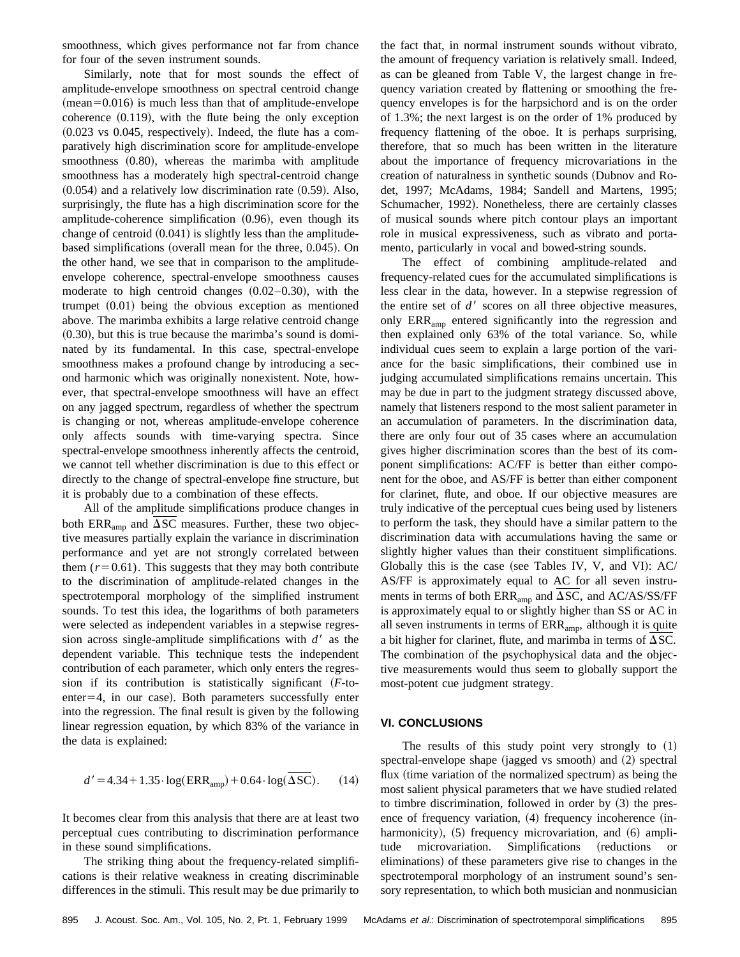smoothness, which gives performance not far from chance for four of the seven instrument sounds.

Similarly, note that for most sounds the effect of amplitude-envelope smoothness on spectral centroid change  $(mean=0.016)$  is much less than that of amplitude-envelope  $coherence (0.119)$ , with the flute being the only exception  $(0.023 \text{ vs } 0.045, \text{ respectively})$ . Indeed, the flute has a comparatively high discrimination score for amplitude-envelope smoothness  $(0.80)$ , whereas the marimba with amplitude smoothness has a moderately high spectral-centroid change  $(0.054)$  and a relatively low discrimination rate  $(0.59)$ . Also, surprisingly, the flute has a high discrimination score for the amplitude-coherence simplification  $(0.96)$ , even though its change of centroid  $(0.041)$  is slightly less than the amplitudebased simplifications (overall mean for the three,  $0.045$ ). On the other hand, we see that in comparison to the amplitudeenvelope coherence, spectral-envelope smoothness causes moderate to high centroid changes  $(0.02-0.30)$ , with the trumpet  $(0.01)$  being the obvious exception as mentioned above. The marimba exhibits a large relative centroid change  $(0.30)$ , but this is true because the marimba's sound is dominated by its fundamental. In this case, spectral-envelope smoothness makes a profound change by introducing a second harmonic which was originally nonexistent. Note, however, that spectral-envelope smoothness will have an effect on any jagged spectrum, regardless of whether the spectrum is changing or not, whereas amplitude-envelope coherence only affects sounds with time-varying spectra. Since spectral-envelope smoothness inherently affects the centroid, we cannot tell whether discrimination is due to this effect or directly to the change of spectral-envelope fine structure, but it is probably due to a combination of these effects.

All of the amplitude simplifications produce changes in both  $ERR_{amp}$  and  $\Delta SC$  measures. Further, these two objective measures partially explain the variance in discrimination performance and yet are not strongly correlated between them  $(r=0.61)$ . This suggests that they may both contribute to the discrimination of amplitude-related changes in the spectrotemporal morphology of the simplified instrument sounds. To test this idea, the logarithms of both parameters were selected as independent variables in a stepwise regression across single-amplitude simplifications with  $d<sup>2</sup>$  as the dependent variable. This technique tests the independent contribution of each parameter, which only enters the regression if its contribution is statistically significant (*F*-to $enter=4$ , in our case). Both parameters successfully enter into the regression. The final result is given by the following linear regression equation, by which 83% of the variance in the data is explained:

$$
d' = 4.34 + 1.35 \cdot \log(\text{ERR}_{\text{amp}}) + 0.64 \cdot \log(\Delta \text{SC}).
$$
 (14)

It becomes clear from this analysis that there are at least two perceptual cues contributing to discrimination performance in these sound simplifications.

The striking thing about the frequency-related simplifications is their relative weakness in creating discriminable differences in the stimuli. This result may be due primarily to the fact that, in normal instrument sounds without vibrato, the amount of frequency variation is relatively small. Indeed, as can be gleaned from Table V, the largest change in frequency variation created by flattening or smoothing the frequency envelopes is for the harpsichord and is on the order of 1.3%; the next largest is on the order of 1% produced by frequency flattening of the oboe. It is perhaps surprising, therefore, that so much has been written in the literature about the importance of frequency microvariations in the creation of naturalness in synthetic sounds (Dubnov and Rodet, 1997; McAdams, 1984; Sandell and Martens, 1995; Schumacher, 1992). Nonetheless, there are certainly classes of musical sounds where pitch contour plays an important role in musical expressiveness, such as vibrato and portamento, particularly in vocal and bowed-string sounds.

The effect of combining amplitude-related and frequency-related cues for the accumulated simplifications is less clear in the data, however. In a stepwise regression of the entire set of  $d'$  scores on all three objective measures, only ERR<sub>amp</sub> entered significantly into the regression and then explained only 63% of the total variance. So, while individual cues seem to explain a large portion of the variance for the basic simplifications, their combined use in judging accumulated simplifications remains uncertain. This may be due in part to the judgment strategy discussed above, namely that listeners respond to the most salient parameter in an accumulation of parameters. In the discrimination data, there are only four out of 35 cases where an accumulation gives higher discrimination scores than the best of its component simplifications: AC/FF is better than either component for the oboe, and AS/FF is better than either component for clarinet, flute, and oboe. If our objective measures are truly indicative of the perceptual cues being used by listeners to perform the task, they should have a similar pattern to the discrimination data with accumulations having the same or slightly higher values than their constituent simplifications. Globally this is the case (see Tables IV, V, and VI):  $AC/$ AS/FF is approximately equal to AC for all seven instruments in terms of both  $ERR_{amp}$  and  $\Delta SC$ , and  $\Delta C/AS/SS/FF$ is approximately equal to or slightly higher than SS or AC in all seven instruments in terms of  $ERR_{amp}$ , although it is quite a bit higher for clarinet, flute, and marimba in terms of  $\Delta$ SC. The combination of the psychophysical data and the objective measurements would thus seem to globally support the most-potent cue judgment strategy.

#### **VI. CONCLUSIONS**

The results of this study point very strongly to  $(1)$ spectral-envelope shape (jagged vs smooth) and (2) spectral flux (time variation of the normalized spectrum) as being the most salient physical parameters that we have studied related to timbre discrimination, followed in order by  $(3)$  the presence of frequency variation,  $(4)$  frequency incoherence  $(in-)$ harmonicity),  $(5)$  frequency microvariation, and  $(6)$  amplitude microvariation. Simplifications (reductions or eliminations) of these parameters give rise to changes in the spectrotemporal morphology of an instrument sound's sensory representation, to which both musician and nonmusician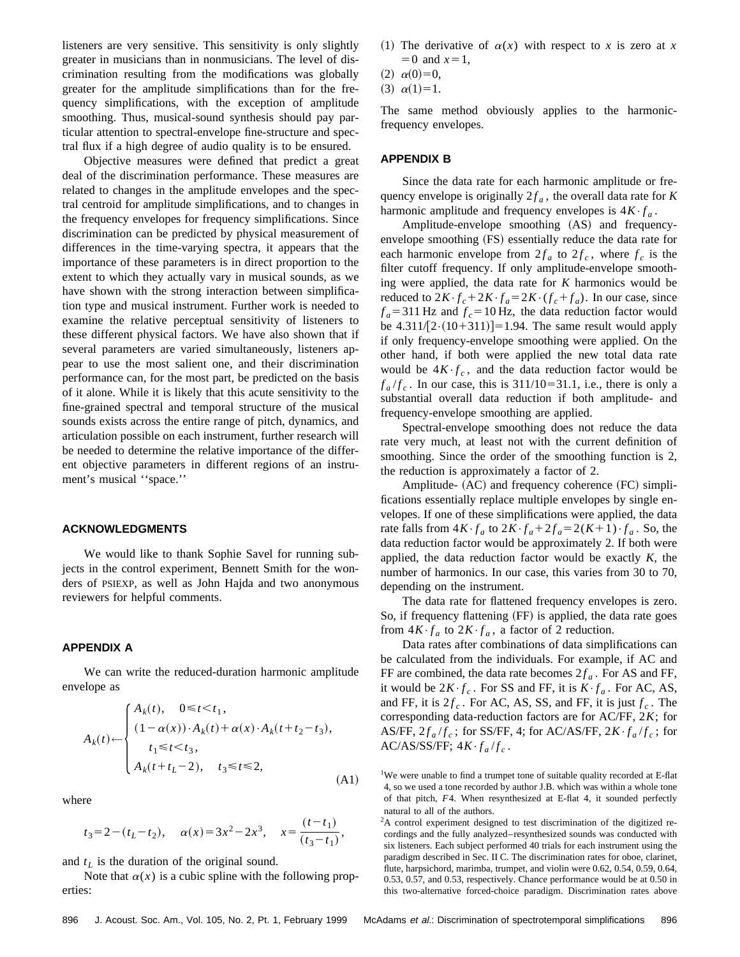listeners are very sensitive. This sensitivity is only slightly greater in musicians than in nonmusicians. The level of discrimination resulting from the modifications was globally greater for the amplitude simplifications than for the frequency simplifications, with the exception of amplitude smoothing. Thus, musical-sound synthesis should pay particular attention to spectral-envelope fine-structure and spectral flux if a high degree of audio quality is to be ensured.

Objective measures were defined that predict a great deal of the discrimination performance. These measures are related to changes in the amplitude envelopes and the spectral centroid for amplitude simplifications, and to changes in the frequency envelopes for frequency simplifications. Since discrimination can be predicted by physical measurement of differences in the time-varying spectra, it appears that the importance of these parameters is in direct proportion to the extent to which they actually vary in musical sounds, as we have shown with the strong interaction between simplification type and musical instrument. Further work is needed to examine the relative perceptual sensitivity of listeners to these different physical factors. We have also shown that if several parameters are varied simultaneously, listeners appear to use the most salient one, and their discrimination performance can, for the most part, be predicted on the basis of it alone. While it is likely that this acute sensitivity to the fine-grained spectral and temporal structure of the musical sounds exists across the entire range of pitch, dynamics, and articulation possible on each instrument, further research will be needed to determine the relative importance of the different objective parameters in different regions of an instrument's musical ''space.''

#### **ACKNOWLEDGMENTS**

We would like to thank Sophie Savel for running subjects in the control experiment, Bennett Smith for the wonders of PSIEXP, as well as John Hajda and two anonymous reviewers for helpful comments.

#### **APPENDIX A**

We can write the reduced-duration harmonic amplitude envelope as

$$
A_k(t) \leftarrow \begin{cases} A_k(t), & 0 \le t < t_1, \\ (1 - \alpha(x)) \cdot A_k(t) + \alpha(x) \cdot A_k(t + t_2 - t_3), \\ t_1 \le t < t_3, \\ A_k(t + t_L - 2), & t_3 \le t \le 2, \end{cases} (A1)
$$

where

$$
t_3=2-(t_L-t_2)
$$
,  $\alpha(x)=3x^2-2x^3$ ,  $x=\frac{(t-t_1)}{(t_3-t_1)}$ ,

and  $t_L$  is the duration of the original sound.

Note that  $\alpha(x)$  is a cubic spline with the following properties:

- (1) The derivative of  $\alpha(x)$  with respect to *x* is zero at *x*  $=0$  and  $x=1$ ,
- $(2) \ \alpha(0)=0,$
- $\alpha(1)=1.$

The same method obviously applies to the harmonicfrequency envelopes.

#### **APPENDIX B**

Since the data rate for each harmonic amplitude or frequency envelope is originally  $2f_a$ , the overall data rate for *K* harmonic amplitude and frequency envelopes is  $4K \cdot f_a$ .

Amplitude-envelope smoothing (AS) and frequencyenvelope smoothing (FS) essentially reduce the data rate for each harmonic envelope from  $2f_a$  to  $2f_c$ , where  $f_c$  is the filter cutoff frequency. If only amplitude-envelope smoothing were applied, the data rate for *K* harmonics would be reduced to  $2K \cdot f_c + 2K \cdot f_a = 2K \cdot (f_c + f_a)$ . In our case, since  $f_a$ =311 Hz and  $f_c$ =10 Hz, the data reduction factor would be  $4.311/[2(10+311)] = 1.94$ . The same result would apply if only frequency-envelope smoothing were applied. On the other hand, if both were applied the new total data rate would be  $4K \cdot f_c$ , and the data reduction factor would be  $f_a/f_c$ . In our case, this is 311/10=31.1, i.e., there is only a substantial overall data reduction if both amplitude- and frequency-envelope smoothing are applied.

Spectral-envelope smoothing does not reduce the data rate very much, at least not with the current definition of smoothing. Since the order of the smoothing function is 2, the reduction is approximately a factor of 2.

Amplitude- (AC) and frequency coherence (FC) simplifications essentially replace multiple envelopes by single envelopes. If one of these simplifications were applied, the data rate falls from  $4K \cdot f_a$  to  $2K \cdot f_a + 2f_a = 2(K+1) \cdot f_a$ . So, the data reduction factor would be approximately 2. If both were applied, the data reduction factor would be exactly *K*, the number of harmonics. In our case, this varies from 30 to 70, depending on the instrument.

The data rate for flattened frequency envelopes is zero. So, if frequency flattening (FF) is applied, the data rate goes from  $4K \cdot f_a$  to  $2K \cdot f_a$ , a factor of 2 reduction.

Data rates after combinations of data simplifications can be calculated from the individuals. For example, if AC and FF are combined, the data rate becomes  $2f_a$ . For AS and FF, it would be  $2K \cdot f_c$ . For SS and FF, it is  $K \cdot f_a$ . For AC, AS, and FF, it is  $2f_c$ . For AC, AS, SS, and FF, it is just  $f_c$ . The corresponding data-reduction factors are for AC/FF, 2*K*; for AS/FF,  $2f_a/f_c$ ; for SS/FF, 4; for AC/AS/FF,  $2K \cdot f_a/f_c$ ; for AC/AS/SS/FF;  $4K \cdot f_a/f_c$ .

<sup>&</sup>lt;sup>1</sup>We were unable to find a trumpet tone of suitable quality recorded at E-flat 4, so we used a tone recorded by author J.B. which was within a whole tone of that pitch, *F*4. When resynthesized at E-flat 4, it sounded perfectly natural to all of the authors.

<sup>&</sup>lt;sup>2</sup>A control experiment designed to test discrimination of the digitized recordings and the fully analyzed–resynthesized sounds was conducted with six listeners. Each subject performed 40 trials for each instrument using the paradigm described in Sec. II C. The discrimination rates for oboe, clarinet, flute, harpsichord, marimba, trumpet, and violin were 0.62, 0.54, 0.59, 0.64, 0.53, 0.57, and 0.53, respectively. Chance performance would be at 0.50 in this two-alternative forced-choice paradigm. Discrimination rates above